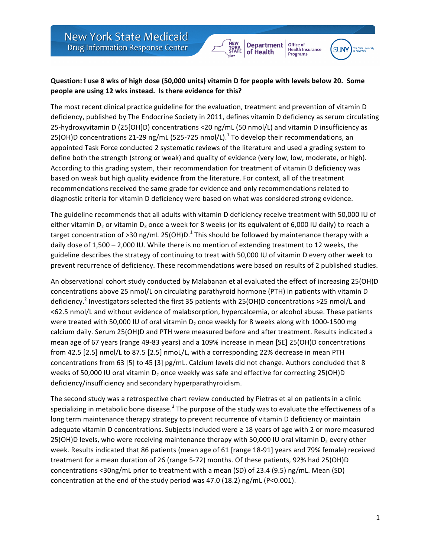



Office of

Health Insurance<br>Programs

## **Question: I use 8 wks of high dose (50,000 units) vitamin D for people with levels below 20. Some people are using 12 wks instead.** Is there evidence for this?

The most recent clinical practice guideline for the evaluation, treatment and prevention of vitamin D deficiency, published by The Endocrine Society in 2011, defines vitamin D deficiency as serum circulating 25-hydroxyvitamin D (25[OH]D) concentrations <20 ng/mL (50 nmol/L) and vitamin D insufficiency as 25(OH)D concentrations 21-29 ng/mL (525-725 nmol/L).<sup>1</sup> To develop their recommendations, an appointed Task Force conducted 2 systematic reviews of the literature and used a grading system to define both the strength (strong or weak) and quality of evidence (very low, low, moderate, or high). According to this grading system, their recommendation for treatment of vitamin D deficiency was based on weak but high quality evidence from the literature. For context, all of the treatment recommendations received the same grade for evidence and only recommendations related to diagnostic criteria for vitamin D deficiency were based on what was considered strong evidence.

The guideline recommends that all adults with vitamin D deficiency receive treatment with 50,000 IU of either vitamin  $D_2$  or vitamin  $D_3$  once a week for 8 weeks (or its equivalent of 6,000 IU daily) to reach a target concentration of >30 ng/mL 25(OH)D.<sup>1</sup> This should be followed by maintenance therapy with a daily dose of  $1,500 - 2,000$  IU. While there is no mention of extending treatment to 12 weeks, the guideline describes the strategy of continuing to treat with 50,000 IU of vitamin D every other week to prevent recurrence of deficiency. These recommendations were based on results of 2 published studies.

An observational cohort study conducted by Malabanan et al evaluated the effect of increasing 25(OH)D concentrations above 25 nmol/L on circulating parathyroid hormone (PTH) in patients with vitamin D deficiency.<sup>2</sup> Investigators selected the first 35 patients with 25(OH)D concentrations >25 nmol/L and <62.5 nmol/L and without evidence of malabsorption, hypercalcemia, or alcohol abuse. These patients were treated with 50,000 IU of oral vitamin  $D_2$  once weekly for 8 weeks along with 1000-1500 mg calcium daily. Serum 25(OH)D and PTH were measured before and after treatment. Results indicated a mean age of 67 years (range 49-83 years) and a 109% increase in mean [SE] 25(OH)D concentrations from 42.5 [2.5] nmol/L to 87.5 [2.5] nmoL/L, with a corresponding 22% decrease in mean PTH concentrations from 63 [5] to 45 [3]  $pg/mL$ . Calcium levels did not change. Authors concluded that 8 weeks of 50,000 IU oral vitamin  $D_2$  once weekly was safe and effective for correcting 25(OH)D deficiency/insufficiency and secondary hyperparathyroidism.

The second study was a retrospective chart review conducted by Pietras et al on patients in a clinic specializing in metabolic bone disease.<sup>3</sup> The purpose of the study was to evaluate the effectiveness of a long term maintenance therapy strategy to prevent recurrence of vitamin D deficiency or maintain adequate vitamin D concentrations. Subjects included were  $\geq$  18 years of age with 2 or more measured 25(OH)D levels, who were receiving maintenance therapy with 50,000 IU oral vitamin  $D_2$  every other week. Results indicated that 86 patients (mean age of 61 [range 18-91] years and 79% female) received treatment for a mean duration of 26 (range 5-72) months. Of these patients, 92% had 25(OH)D concentrations <30ng/mL prior to treatment with a mean (SD) of 23.4 (9.5) ng/mL. Mean (SD) concentration at the end of the study period was 47.0 (18.2) ng/mL (P<0.001).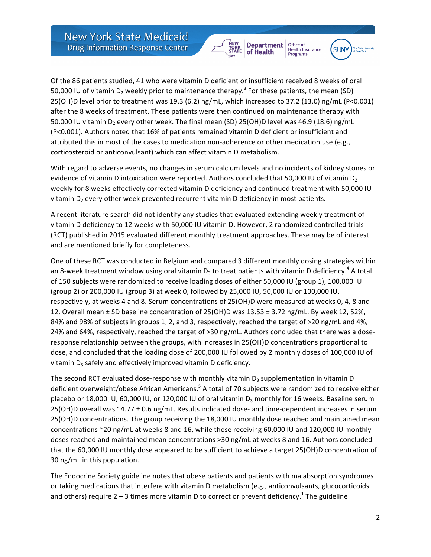**Department** of Health



Office of

Health Insurance<br>Programs

Of the 86 patients studied, 41 who were vitamin D deficient or insufficient received 8 weeks of oral 50,000 IU of vitamin D<sub>2</sub> weekly prior to maintenance therapy.<sup>3</sup> For these patients, the mean (SD) 25(OH)D level prior to treatment was 19.3 (6.2) ng/mL, which increased to 37.2 (13.0) ng/mL (P<0.001) after the 8 weeks of treatment. These patients were then continued on maintenance therapy with 50,000 IU vitamin D<sub>2</sub> every other week. The final mean (SD) 25(OH)D level was 46.9 (18.6) ng/mL (P<0.001). Authors noted that 16% of patients remained vitamin D deficient or insufficient and attributed this in most of the cases to medication non-adherence or other medication use (e.g., corticosteroid or anticonvulsant) which can affect vitamin D metabolism.

With regard to adverse events, no changes in serum calcium levels and no incidents of kidney stones or evidence of vitamin D intoxication were reported. Authors concluded that 50,000 IU of vitamin  $D_2$ weekly for 8 weeks effectively corrected vitamin D deficiency and continued treatment with 50,000 IU vitamin  $D<sub>2</sub>$  every other week prevented recurrent vitamin D deficiency in most patients.

A recent literature search did not identify any studies that evaluated extending weekly treatment of vitamin D deficiency to 12 weeks with 50,000 IU vitamin D. However, 2 randomized controlled trials (RCT) published in 2015 evaluated different monthly treatment approaches. These may be of interest and are mentioned briefly for completeness.

One of these RCT was conducted in Belgium and compared 3 different monthly dosing strategies within an 8-week treatment window using oral vitamin  $D_3$  to treat patients with vitamin D deficiency.<sup>4</sup> A total of 150 subjects were randomized to receive loading doses of either 50,000 IU (group 1), 100,000 IU (group 2) or 200,000 IU (group 3) at week 0, followed by 25,000 IU, 50,000 IU or 100,000 IU, respectively, at weeks 4 and 8. Serum concentrations of 25(OH)D were measured at weeks 0, 4, 8 and 12. Overall mean  $\pm$  SD baseline concentration of 25(OH)D was 13.53  $\pm$  3.72 ng/mL. By week 12, 52%, 84% and 98% of subjects in groups 1, 2, and 3, respectively, reached the target of >20 ng/mL and 4%, 24% and 64%, respectively, reached the target of >30 ng/mL. Authors concluded that there was a doseresponse relationship between the groups, with increases in 25(OH)D concentrations proportional to dose, and concluded that the loading dose of 200,000 IU followed by 2 monthly doses of 100,000 IU of vitamin  $D_3$  safely and effectively improved vitamin D deficiency.

The second RCT evaluated dose-response with monthly vitamin  $D_3$  supplementation in vitamin D deficient overweight/obese African Americans.<sup>5</sup> A total of 70 subjects were randomized to receive either placebo or 18,000 IU, 60,000 IU, or 120,000 IU of oral vitamin  $D_3$  monthly for 16 weeks. Baseline serum 25(OH)D overall was  $14.77 \pm 0.6$  ng/mL. Results indicated dose- and time-dependent increases in serum 25(OH)D concentrations. The group receiving the 18,000 IU monthly dose reached and maintained mean concentrations ~20 ng/mL at weeks 8 and 16, while those receiving 60,000 IU and 120,000 IU monthly doses reached and maintained mean concentrations >30 ng/mL at weeks 8 and 16. Authors concluded that the 60,000 IU monthly dose appeared to be sufficient to achieve a target 25(OH)D concentration of 30 ng/mL in this population.

The Endocrine Society guideline notes that obese patients and patients with malabsorption syndromes or taking medications that interfere with vitamin D metabolism (e.g., anticonvulsants, glucocorticoids and others) require  $2 - 3$  times more vitamin D to correct or prevent deficiency.<sup>1</sup> The guideline